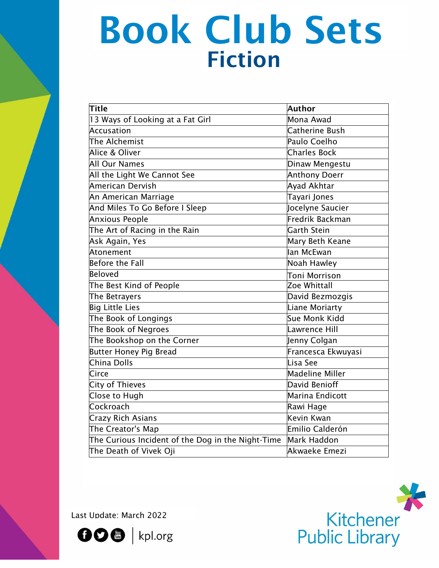# Fiction Book Club Sets Heading Control of the

| Title                                             | Author                 |
|---------------------------------------------------|------------------------|
| 13 Ways of Looking at a Fat Girl                  | Mona Awad              |
| <b>Accusation</b>                                 | Catherine Bush         |
| The Alchemist                                     | Paulo Coelho           |
| Alice & Oliver                                    | <b>Charles Bock</b>    |
| <b>All Our Names</b>                              | Dinaw Mengestu         |
| All the Light We Cannot See                       | Anthony Doerr          |
| American Dervish                                  | Ayad Akhtar            |
| An American Marriage                              | Tayari Jones           |
| And Miles To Go Before I Sleep                    | Jocelyne Saucier       |
| <b>Anxious People</b>                             | <b>Fredrik Backman</b> |
| The Art of Racing in the Rain                     | <b>Garth Stein</b>     |
| Ask Again, Yes                                    | Mary Beth Keane        |
| Atonement                                         | lan McEwan             |
| <b>Before the Fall</b>                            | Noah Hawley            |
| <b>Beloved</b>                                    | Toni Morrison          |
| The Best Kind of People                           | Zoe Whittall           |
| The Betrayers                                     | David Bezmozgis        |
| <b>Big Little Lies</b>                            | Liane Moriarty         |
| The Book of Longings                              | Sue Monk Kidd          |
| The Book of Negroes                               | Lawrence Hill          |
| The Bookshop on the Corner                        | Jenny Colgan           |
| <b>Butter Honey Pig Bread</b>                     | Francesca Ekwuyasi     |
| China Dolls                                       | Lisa See               |
| Circe                                             | <b>Madeline Miller</b> |
| <b>City of Thieves</b>                            | David Benioff          |
| Close to Hugh                                     | Marina Endicott        |
| Cockroach                                         | Rawi Hage              |
| <b>Crazy Rich Asians</b>                          | Kevin Kwan             |
| The Creator's Map                                 | Emilio Calderón        |
| The Curious Incident of the Dog in the Night-Time | Mark Haddon            |
| The Death of Vivek Oji                            | Akwaeke Emezi          |

Last Update: March 2022



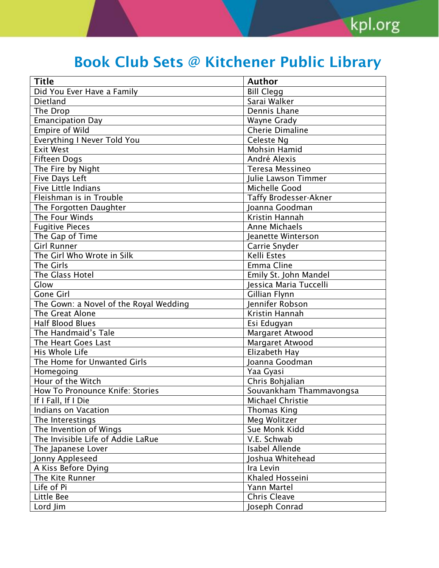| <b>Title</b><br><b>Author</b><br><b>Bill Clegg</b><br>Did You Ever Have a Family<br>Sarai Walker<br><b>Dietland</b><br>The Drop<br>Dennis Lhane<br><b>Emancipation Day</b><br><b>Wayne Grady</b><br><b>Empire of Wild</b><br><b>Cherie Dimaline</b><br>Everything I Never Told You<br>Celeste Ng<br><b>Mohsin Hamid</b><br><b>Exit West</b><br><b>Fifteen Dogs</b><br>André Alexis<br>Teresa Messineo<br>The Fire by Night<br>Five Days Left<br>Julie Lawson Timmer<br><b>Five Little Indians</b><br>Michelle Good<br>Fleishman is in Trouble<br><b>Taffy Brodesser-Akner</b><br>Joanna Goodman<br>The Forgotten Daughter<br>The Four Winds<br>Kristin Hannah<br><b>Fugitive Pieces</b><br><b>Anne Michaels</b><br>The Gap of Time<br>Jeanette Winterson<br><b>Girl Runner</b><br>Carrie Snyder<br>Kelli Estes<br>The Girl Who Wrote in Silk<br>The Girls<br><b>Emma Cline</b><br>The Glass Hotel<br>Emily St. John Mandel<br>Glow<br>Jessica Maria Tuccelli<br>Gillian Flynn<br><b>Gone Girl</b><br>Jennifer Robson<br>The Gown: a Novel of the Royal Wedding<br>The Great Alone<br>Kristin Hannah<br><b>Half Blood Blues</b><br>Esi Edugyan<br>The Handmaid's Tale<br>Margaret Atwood<br>The Heart Goes Last<br>Margaret Atwood<br>His Whole Life<br>Elizabeth Hay<br>The Home for Unwanted Girls<br>Joanna Goodman<br>Yaa Gyasi<br>Homegoing<br>Hour of the Witch<br>Chris Bohjalian<br>How To Pronounce Knife: Stories<br>Souvankham Thammavongsa<br>If I Fall, If I Die<br>Michael Christie<br><b>Indians on Vacation</b><br><b>Thomas King</b><br>Meg Wolitzer<br>The Interestings<br>The Invention of Wings<br>Sue Monk Kidd<br>The Invisible Life of Addie LaRue<br>V.E. Schwab<br><b>Isabel Allende</b><br>The Japanese Lover<br>Jonny Appleseed<br>Joshua Whitehead<br>A Kiss Before Dying<br>Ira Levin<br>Khaled Hosseini<br>The Kite Runner<br>Life of Pi<br>Yann Martel<br><b>Chris Cleave</b><br>Little Bee |          |               |
|---------------------------------------------------------------------------------------------------------------------------------------------------------------------------------------------------------------------------------------------------------------------------------------------------------------------------------------------------------------------------------------------------------------------------------------------------------------------------------------------------------------------------------------------------------------------------------------------------------------------------------------------------------------------------------------------------------------------------------------------------------------------------------------------------------------------------------------------------------------------------------------------------------------------------------------------------------------------------------------------------------------------------------------------------------------------------------------------------------------------------------------------------------------------------------------------------------------------------------------------------------------------------------------------------------------------------------------------------------------------------------------------------------------------------------------------------------------------------------------------------------------------------------------------------------------------------------------------------------------------------------------------------------------------------------------------------------------------------------------------------------------------------------------------------------------------------------------------------------------------------------------------------------------------------|----------|---------------|
|                                                                                                                                                                                                                                                                                                                                                                                                                                                                                                                                                                                                                                                                                                                                                                                                                                                                                                                                                                                                                                                                                                                                                                                                                                                                                                                                                                                                                                                                                                                                                                                                                                                                                                                                                                                                                                                                                                                           |          |               |
|                                                                                                                                                                                                                                                                                                                                                                                                                                                                                                                                                                                                                                                                                                                                                                                                                                                                                                                                                                                                                                                                                                                                                                                                                                                                                                                                                                                                                                                                                                                                                                                                                                                                                                                                                                                                                                                                                                                           |          |               |
|                                                                                                                                                                                                                                                                                                                                                                                                                                                                                                                                                                                                                                                                                                                                                                                                                                                                                                                                                                                                                                                                                                                                                                                                                                                                                                                                                                                                                                                                                                                                                                                                                                                                                                                                                                                                                                                                                                                           |          |               |
|                                                                                                                                                                                                                                                                                                                                                                                                                                                                                                                                                                                                                                                                                                                                                                                                                                                                                                                                                                                                                                                                                                                                                                                                                                                                                                                                                                                                                                                                                                                                                                                                                                                                                                                                                                                                                                                                                                                           |          |               |
|                                                                                                                                                                                                                                                                                                                                                                                                                                                                                                                                                                                                                                                                                                                                                                                                                                                                                                                                                                                                                                                                                                                                                                                                                                                                                                                                                                                                                                                                                                                                                                                                                                                                                                                                                                                                                                                                                                                           |          |               |
|                                                                                                                                                                                                                                                                                                                                                                                                                                                                                                                                                                                                                                                                                                                                                                                                                                                                                                                                                                                                                                                                                                                                                                                                                                                                                                                                                                                                                                                                                                                                                                                                                                                                                                                                                                                                                                                                                                                           |          |               |
|                                                                                                                                                                                                                                                                                                                                                                                                                                                                                                                                                                                                                                                                                                                                                                                                                                                                                                                                                                                                                                                                                                                                                                                                                                                                                                                                                                                                                                                                                                                                                                                                                                                                                                                                                                                                                                                                                                                           |          |               |
|                                                                                                                                                                                                                                                                                                                                                                                                                                                                                                                                                                                                                                                                                                                                                                                                                                                                                                                                                                                                                                                                                                                                                                                                                                                                                                                                                                                                                                                                                                                                                                                                                                                                                                                                                                                                                                                                                                                           |          |               |
|                                                                                                                                                                                                                                                                                                                                                                                                                                                                                                                                                                                                                                                                                                                                                                                                                                                                                                                                                                                                                                                                                                                                                                                                                                                                                                                                                                                                                                                                                                                                                                                                                                                                                                                                                                                                                                                                                                                           |          |               |
|                                                                                                                                                                                                                                                                                                                                                                                                                                                                                                                                                                                                                                                                                                                                                                                                                                                                                                                                                                                                                                                                                                                                                                                                                                                                                                                                                                                                                                                                                                                                                                                                                                                                                                                                                                                                                                                                                                                           |          |               |
|                                                                                                                                                                                                                                                                                                                                                                                                                                                                                                                                                                                                                                                                                                                                                                                                                                                                                                                                                                                                                                                                                                                                                                                                                                                                                                                                                                                                                                                                                                                                                                                                                                                                                                                                                                                                                                                                                                                           |          |               |
|                                                                                                                                                                                                                                                                                                                                                                                                                                                                                                                                                                                                                                                                                                                                                                                                                                                                                                                                                                                                                                                                                                                                                                                                                                                                                                                                                                                                                                                                                                                                                                                                                                                                                                                                                                                                                                                                                                                           |          |               |
|                                                                                                                                                                                                                                                                                                                                                                                                                                                                                                                                                                                                                                                                                                                                                                                                                                                                                                                                                                                                                                                                                                                                                                                                                                                                                                                                                                                                                                                                                                                                                                                                                                                                                                                                                                                                                                                                                                                           |          |               |
|                                                                                                                                                                                                                                                                                                                                                                                                                                                                                                                                                                                                                                                                                                                                                                                                                                                                                                                                                                                                                                                                                                                                                                                                                                                                                                                                                                                                                                                                                                                                                                                                                                                                                                                                                                                                                                                                                                                           |          |               |
|                                                                                                                                                                                                                                                                                                                                                                                                                                                                                                                                                                                                                                                                                                                                                                                                                                                                                                                                                                                                                                                                                                                                                                                                                                                                                                                                                                                                                                                                                                                                                                                                                                                                                                                                                                                                                                                                                                                           |          |               |
|                                                                                                                                                                                                                                                                                                                                                                                                                                                                                                                                                                                                                                                                                                                                                                                                                                                                                                                                                                                                                                                                                                                                                                                                                                                                                                                                                                                                                                                                                                                                                                                                                                                                                                                                                                                                                                                                                                                           |          |               |
|                                                                                                                                                                                                                                                                                                                                                                                                                                                                                                                                                                                                                                                                                                                                                                                                                                                                                                                                                                                                                                                                                                                                                                                                                                                                                                                                                                                                                                                                                                                                                                                                                                                                                                                                                                                                                                                                                                                           |          |               |
|                                                                                                                                                                                                                                                                                                                                                                                                                                                                                                                                                                                                                                                                                                                                                                                                                                                                                                                                                                                                                                                                                                                                                                                                                                                                                                                                                                                                                                                                                                                                                                                                                                                                                                                                                                                                                                                                                                                           |          |               |
|                                                                                                                                                                                                                                                                                                                                                                                                                                                                                                                                                                                                                                                                                                                                                                                                                                                                                                                                                                                                                                                                                                                                                                                                                                                                                                                                                                                                                                                                                                                                                                                                                                                                                                                                                                                                                                                                                                                           |          |               |
|                                                                                                                                                                                                                                                                                                                                                                                                                                                                                                                                                                                                                                                                                                                                                                                                                                                                                                                                                                                                                                                                                                                                                                                                                                                                                                                                                                                                                                                                                                                                                                                                                                                                                                                                                                                                                                                                                                                           |          |               |
|                                                                                                                                                                                                                                                                                                                                                                                                                                                                                                                                                                                                                                                                                                                                                                                                                                                                                                                                                                                                                                                                                                                                                                                                                                                                                                                                                                                                                                                                                                                                                                                                                                                                                                                                                                                                                                                                                                                           |          |               |
|                                                                                                                                                                                                                                                                                                                                                                                                                                                                                                                                                                                                                                                                                                                                                                                                                                                                                                                                                                                                                                                                                                                                                                                                                                                                                                                                                                                                                                                                                                                                                                                                                                                                                                                                                                                                                                                                                                                           |          |               |
|                                                                                                                                                                                                                                                                                                                                                                                                                                                                                                                                                                                                                                                                                                                                                                                                                                                                                                                                                                                                                                                                                                                                                                                                                                                                                                                                                                                                                                                                                                                                                                                                                                                                                                                                                                                                                                                                                                                           |          |               |
|                                                                                                                                                                                                                                                                                                                                                                                                                                                                                                                                                                                                                                                                                                                                                                                                                                                                                                                                                                                                                                                                                                                                                                                                                                                                                                                                                                                                                                                                                                                                                                                                                                                                                                                                                                                                                                                                                                                           |          |               |
|                                                                                                                                                                                                                                                                                                                                                                                                                                                                                                                                                                                                                                                                                                                                                                                                                                                                                                                                                                                                                                                                                                                                                                                                                                                                                                                                                                                                                                                                                                                                                                                                                                                                                                                                                                                                                                                                                                                           |          |               |
|                                                                                                                                                                                                                                                                                                                                                                                                                                                                                                                                                                                                                                                                                                                                                                                                                                                                                                                                                                                                                                                                                                                                                                                                                                                                                                                                                                                                                                                                                                                                                                                                                                                                                                                                                                                                                                                                                                                           |          |               |
|                                                                                                                                                                                                                                                                                                                                                                                                                                                                                                                                                                                                                                                                                                                                                                                                                                                                                                                                                                                                                                                                                                                                                                                                                                                                                                                                                                                                                                                                                                                                                                                                                                                                                                                                                                                                                                                                                                                           |          |               |
|                                                                                                                                                                                                                                                                                                                                                                                                                                                                                                                                                                                                                                                                                                                                                                                                                                                                                                                                                                                                                                                                                                                                                                                                                                                                                                                                                                                                                                                                                                                                                                                                                                                                                                                                                                                                                                                                                                                           |          |               |
|                                                                                                                                                                                                                                                                                                                                                                                                                                                                                                                                                                                                                                                                                                                                                                                                                                                                                                                                                                                                                                                                                                                                                                                                                                                                                                                                                                                                                                                                                                                                                                                                                                                                                                                                                                                                                                                                                                                           |          |               |
|                                                                                                                                                                                                                                                                                                                                                                                                                                                                                                                                                                                                                                                                                                                                                                                                                                                                                                                                                                                                                                                                                                                                                                                                                                                                                                                                                                                                                                                                                                                                                                                                                                                                                                                                                                                                                                                                                                                           |          |               |
|                                                                                                                                                                                                                                                                                                                                                                                                                                                                                                                                                                                                                                                                                                                                                                                                                                                                                                                                                                                                                                                                                                                                                                                                                                                                                                                                                                                                                                                                                                                                                                                                                                                                                                                                                                                                                                                                                                                           |          |               |
|                                                                                                                                                                                                                                                                                                                                                                                                                                                                                                                                                                                                                                                                                                                                                                                                                                                                                                                                                                                                                                                                                                                                                                                                                                                                                                                                                                                                                                                                                                                                                                                                                                                                                                                                                                                                                                                                                                                           |          |               |
|                                                                                                                                                                                                                                                                                                                                                                                                                                                                                                                                                                                                                                                                                                                                                                                                                                                                                                                                                                                                                                                                                                                                                                                                                                                                                                                                                                                                                                                                                                                                                                                                                                                                                                                                                                                                                                                                                                                           |          |               |
|                                                                                                                                                                                                                                                                                                                                                                                                                                                                                                                                                                                                                                                                                                                                                                                                                                                                                                                                                                                                                                                                                                                                                                                                                                                                                                                                                                                                                                                                                                                                                                                                                                                                                                                                                                                                                                                                                                                           |          |               |
|                                                                                                                                                                                                                                                                                                                                                                                                                                                                                                                                                                                                                                                                                                                                                                                                                                                                                                                                                                                                                                                                                                                                                                                                                                                                                                                                                                                                                                                                                                                                                                                                                                                                                                                                                                                                                                                                                                                           |          |               |
|                                                                                                                                                                                                                                                                                                                                                                                                                                                                                                                                                                                                                                                                                                                                                                                                                                                                                                                                                                                                                                                                                                                                                                                                                                                                                                                                                                                                                                                                                                                                                                                                                                                                                                                                                                                                                                                                                                                           |          |               |
|                                                                                                                                                                                                                                                                                                                                                                                                                                                                                                                                                                                                                                                                                                                                                                                                                                                                                                                                                                                                                                                                                                                                                                                                                                                                                                                                                                                                                                                                                                                                                                                                                                                                                                                                                                                                                                                                                                                           |          |               |
|                                                                                                                                                                                                                                                                                                                                                                                                                                                                                                                                                                                                                                                                                                                                                                                                                                                                                                                                                                                                                                                                                                                                                                                                                                                                                                                                                                                                                                                                                                                                                                                                                                                                                                                                                                                                                                                                                                                           |          |               |
|                                                                                                                                                                                                                                                                                                                                                                                                                                                                                                                                                                                                                                                                                                                                                                                                                                                                                                                                                                                                                                                                                                                                                                                                                                                                                                                                                                                                                                                                                                                                                                                                                                                                                                                                                                                                                                                                                                                           |          |               |
|                                                                                                                                                                                                                                                                                                                                                                                                                                                                                                                                                                                                                                                                                                                                                                                                                                                                                                                                                                                                                                                                                                                                                                                                                                                                                                                                                                                                                                                                                                                                                                                                                                                                                                                                                                                                                                                                                                                           |          |               |
|                                                                                                                                                                                                                                                                                                                                                                                                                                                                                                                                                                                                                                                                                                                                                                                                                                                                                                                                                                                                                                                                                                                                                                                                                                                                                                                                                                                                                                                                                                                                                                                                                                                                                                                                                                                                                                                                                                                           |          |               |
|                                                                                                                                                                                                                                                                                                                                                                                                                                                                                                                                                                                                                                                                                                                                                                                                                                                                                                                                                                                                                                                                                                                                                                                                                                                                                                                                                                                                                                                                                                                                                                                                                                                                                                                                                                                                                                                                                                                           |          |               |
|                                                                                                                                                                                                                                                                                                                                                                                                                                                                                                                                                                                                                                                                                                                                                                                                                                                                                                                                                                                                                                                                                                                                                                                                                                                                                                                                                                                                                                                                                                                                                                                                                                                                                                                                                                                                                                                                                                                           |          |               |
|                                                                                                                                                                                                                                                                                                                                                                                                                                                                                                                                                                                                                                                                                                                                                                                                                                                                                                                                                                                                                                                                                                                                                                                                                                                                                                                                                                                                                                                                                                                                                                                                                                                                                                                                                                                                                                                                                                                           |          |               |
|                                                                                                                                                                                                                                                                                                                                                                                                                                                                                                                                                                                                                                                                                                                                                                                                                                                                                                                                                                                                                                                                                                                                                                                                                                                                                                                                                                                                                                                                                                                                                                                                                                                                                                                                                                                                                                                                                                                           | Lord Jim | Joseph Conrad |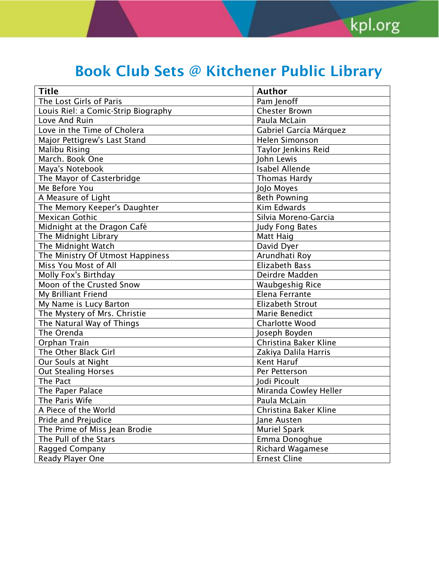| <b>Title</b>                        | <b>Author</b>           |  |
|-------------------------------------|-------------------------|--|
| The Lost Girls of Paris             | Pam Jenoff              |  |
| Louis Riel: a Comic-Strip Biography | <b>Chester Brown</b>    |  |
| Love And Ruin                       | Paula McLain            |  |
| Love in the Time of Cholera         | Gabriel García Márquez  |  |
| Major Pettigrew's Last Stand        | Helen Simonson          |  |
| <b>Malibu Rising</b>                | Taylor Jenkins Reid     |  |
| March. Book One                     | John Lewis              |  |
| Maya's Notebook                     | <b>Isabel Allende</b>   |  |
| The Mayor of Casterbridge           | <b>Thomas Hardy</b>     |  |
| Me Before You                       | JoJo Moyes              |  |
| A Measure of Light                  | <b>Beth Powning</b>     |  |
| The Memory Keeper's Daughter        | Kim Edwards             |  |
| <b>Mexican Gothic</b>               | Silvia Moreno-Garcia    |  |
| Midnight at the Dragon Café         | <b>Judy Fong Bates</b>  |  |
| The Midnight Library                | <b>Matt Haig</b>        |  |
| The Midnight Watch                  | David Dyer              |  |
| The Ministry Of Utmost Happiness    | Arundhati Roy           |  |
| Miss You Most of All                | Elizabeth Bass          |  |
| Molly Fox's Birthday                | Deirdre Madden          |  |
| Moon of the Crusted Snow            | <b>Waubgeshig Rice</b>  |  |
| My Brilliant Friend                 | Elena Ferrante          |  |
| My Name is Lucy Barton              | <b>Elizabeth Strout</b> |  |
| The Mystery of Mrs. Christie        | Marie Benedict          |  |
| The Natural Way of Things           | <b>Charlotte Wood</b>   |  |
| The Orenda                          | Joseph Boyden           |  |
| Orphan Train                        | Christina Baker Kline   |  |
| The Other Black Girl                | Zakiya Dalila Harris    |  |
| Our Souls at Night                  | Kent Haruf              |  |
| <b>Out Stealing Horses</b>          | Per Petterson           |  |
| The Pact                            | Jodi Picoult            |  |
| The Paper Palace                    | Miranda Cowley Heller   |  |
| The Paris Wife                      | Paula McLain            |  |
| A Piece of the World                | Christina Baker Kline   |  |
| Pride and Prejudice                 | Jane Austen             |  |
| The Prime of Miss Jean Brodie       | <b>Muriel Spark</b>     |  |
| The Pull of the Stars               | Emma Donoghue           |  |
| Ragged Company                      | Richard Wagamese        |  |
| Ready Player One                    | <b>Ernest Cline</b>     |  |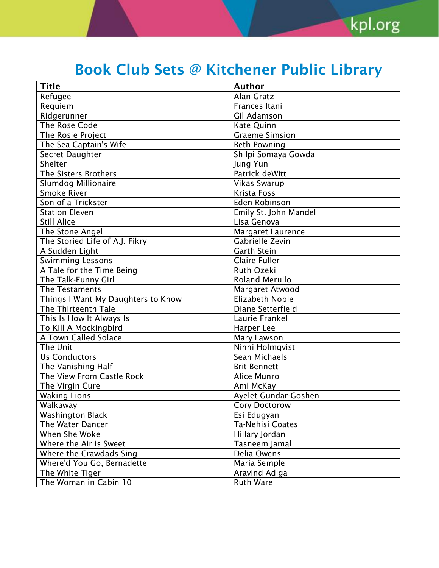| <b>Title</b>                       | <b>Author</b>         |
|------------------------------------|-----------------------|
| Refugee                            | Alan Gratz            |
| Requiem                            | Frances Itani         |
| Ridgerunner                        | Gil Adamson           |
| The Rose Code                      | Kate Quinn            |
| The Rosie Project                  | <b>Graeme Simsion</b> |
| The Sea Captain's Wife             | <b>Beth Powning</b>   |
| Secret Daughter                    | Shilpi Somaya Gowda   |
| Shelter                            | Jung Yun              |
| The Sisters Brothers               | Patrick deWitt        |
| Slumdog Millionaire                | <b>Vikas Swarup</b>   |
| Smoke River                        | <b>Krista Foss</b>    |
| Son of a Trickster                 | Eden Robinson         |
| <b>Station Eleven</b>              | Emily St. John Mandel |
| <b>Still Alice</b>                 | Lisa Genova           |
| The Stone Angel                    | Margaret Laurence     |
| The Storied Life of A.J. Fikry     | Gabrielle Zevin       |
| A Sudden Light                     | <b>Garth Stein</b>    |
| <b>Swimming Lessons</b>            | <b>Claire Fuller</b>  |
| A Tale for the Time Being          | Ruth Ozeki            |
| The Talk-Funny Girl                | <b>Roland Merullo</b> |
| The Testaments                     | Margaret Atwood       |
| Things I Want My Daughters to Know | Elizabeth Noble       |
| The Thirteenth Tale                | Diane Setterfield     |
| This Is How It Always Is           | Laurie Frankel        |
| To Kill A Mockingbird              | Harper Lee            |
| A Town Called Solace               | Mary Lawson           |
| The Unit                           | Ninni Holmqvist       |
| <b>Us Conductors</b>               | Sean Michaels         |
| The Vanishing Half                 | <b>Brit Bennett</b>   |
| The View From Castle Rock          | Alice Munro           |
| The Virgin Cure                    | Ami McKay             |
| <b>Waking Lions</b>                | Ayelet Gundar-Goshen  |
| Walkaway                           | <b>Cory Doctorow</b>  |
| <b>Washington Black</b>            | Esi Edugyan           |
| The Water Dancer                   | Ta-Nehisi Coates      |
| When She Woke                      | Hillary Jordan        |
| Where the Air is Sweet             | Tasneem Jamal         |
| Where the Crawdads Sing            | Delia Owens           |
| Where'd You Go, Bernadette         | Maria Semple          |
| The White Tiger                    | Aravind Adiga         |
| The Woman in Cabin 10              | <b>Ruth Ware</b>      |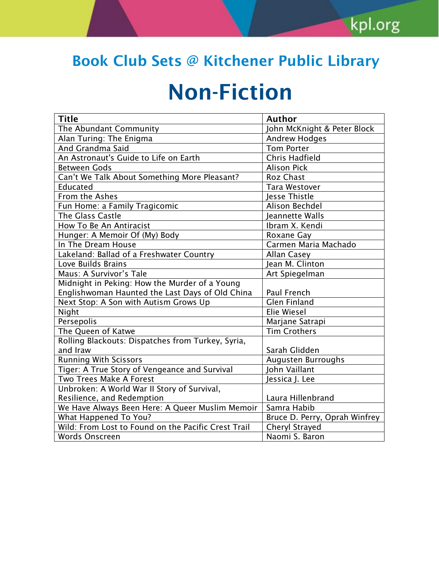# Non-Fiction

| <b>Title</b>                                        | <b>Author</b>                 |
|-----------------------------------------------------|-------------------------------|
| The Abundant Community                              | John McKnight & Peter Block   |
| Alan Turing: The Enigma                             | <b>Andrew Hodges</b>          |
| And Grandma Said                                    | <b>Tom Porter</b>             |
| An Astronaut's Guide to Life on Earth               | Chris Hadfield                |
| <b>Between Gods</b>                                 | <b>Alison Pick</b>            |
| Can't We Talk About Something More Pleasant?        | <b>Roz Chast</b>              |
| Educated                                            | <b>Tara Westover</b>          |
| From the Ashes                                      | <b>Jesse Thistle</b>          |
| Fun Home: a Family Tragicomic                       | Alison Bechdel                |
| The Glass Castle                                    | Jeannette Walls               |
| How To Be An Antiracist                             | Ibram X. Kendi                |
| Hunger: A Memoir Of (My) Body                       | Roxane Gay                    |
| In The Dream House                                  | Carmen Maria Machado          |
| Lakeland: Ballad of a Freshwater Country            | Allan Casey                   |
| Love Builds Brains                                  | Jean M. Clinton               |
| Maus: A Survivor's Tale                             | Art Spiegelman                |
| Midnight in Peking: How the Murder of a Young       |                               |
| Englishwoman Haunted the Last Days of Old China     | Paul French                   |
| Next Stop: A Son with Autism Grows Up               | <b>Glen Finland</b>           |
| Night                                               | <b>Elie Wiesel</b>            |
| Persepolis                                          | Marjane Satrapi               |
| The Queen of Katwe                                  | <b>Tim Crothers</b>           |
| Rolling Blackouts: Dispatches from Turkey, Syria,   |                               |
| and Iraw                                            | Sarah Glidden                 |
| <b>Running With Scissors</b>                        | Augusten Burroughs            |
| Tiger: A True Story of Vengeance and Survival       | John Vaillant                 |
| Two Trees Make A Forest                             | Jessica J. Lee                |
| Unbroken: A World War II Story of Survival,         |                               |
| Resilience, and Redemption                          | Laura Hillenbrand             |
| We Have Always Been Here: A Queer Muslim Memoir     | Samra Habib                   |
| What Happened To You?                               | Bruce D. Perry, Oprah Winfrey |
| Wild: From Lost to Found on the Pacific Crest Trail | <b>Cheryl Strayed</b>         |
| <b>Words Onscreen</b>                               | Naomi S. Baron                |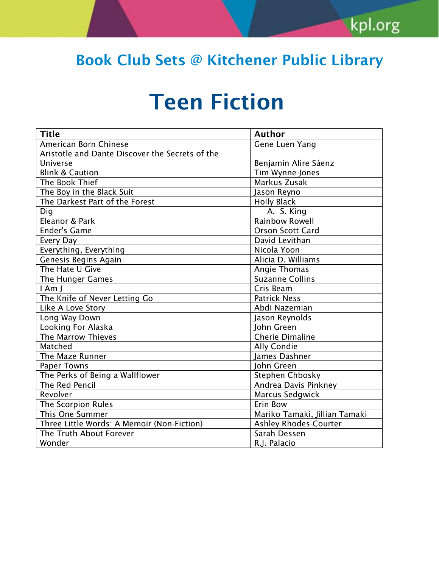# Teen Fiction

| <b>Title</b>                                    | <b>Author</b>                 |  |
|-------------------------------------------------|-------------------------------|--|
| American Born Chinese                           | Gene Luen Yang                |  |
| Aristotle and Dante Discover the Secrets of the |                               |  |
| Universe                                        | Benjamin Alire Sáenz          |  |
| <b>Blink &amp; Caution</b>                      | Tim Wynne-Jones               |  |
| The Book Thief                                  | Markus Zusak                  |  |
| The Boy in the Black Suit                       | Jason Reyno                   |  |
| The Darkest Part of the Forest                  | <b>Holly Black</b>            |  |
| Dig                                             | A. S. King                    |  |
| Eleanor & Park                                  | <b>Rainbow Rowell</b>         |  |
| <b>Ender's Game</b>                             | Orson Scott Card              |  |
| Every Day                                       | David Levithan                |  |
| Everything, Everything                          | Nicola Yoon                   |  |
| Genesis Begins Again                            | Alicia D. Williams            |  |
| The Hate U Give                                 | <b>Angie Thomas</b>           |  |
| The Hunger Games                                | <b>Suzanne Collins</b>        |  |
| $l$ Am $l$                                      | Cris Beam                     |  |
| The Knife of Never Letting Go                   | <b>Patrick Ness</b>           |  |
| Like A Love Story                               | Abdi Nazemian                 |  |
| Long Way Down                                   | Jason Reynolds                |  |
| Looking For Alaska                              | John Green                    |  |
| The Marrow Thieves                              | <b>Cherie Dimaline</b>        |  |
| Matched                                         | <b>Ally Condie</b>            |  |
| The Maze Runner                                 | James Dashner                 |  |
| <b>Paper Towns</b>                              | <b>Iohn Green</b>             |  |
| The Perks of Being a Wallflower                 | Stephen Chbosky               |  |
| The Red Pencil                                  | Andrea Davis Pinkney          |  |
| Revolver                                        | Marcus Sedgwick               |  |
| The Scorpion Rules                              | Erin Bow                      |  |
| This One Summer                                 | Mariko Tamaki, Jillian Tamaki |  |
| Three Little Words: A Memoir (Non-Fiction)      | <b>Ashley Rhodes-Courter</b>  |  |
| The Truth About Forever                         | Sarah Dessen                  |  |
| Wonder                                          | R.J. Palacio                  |  |